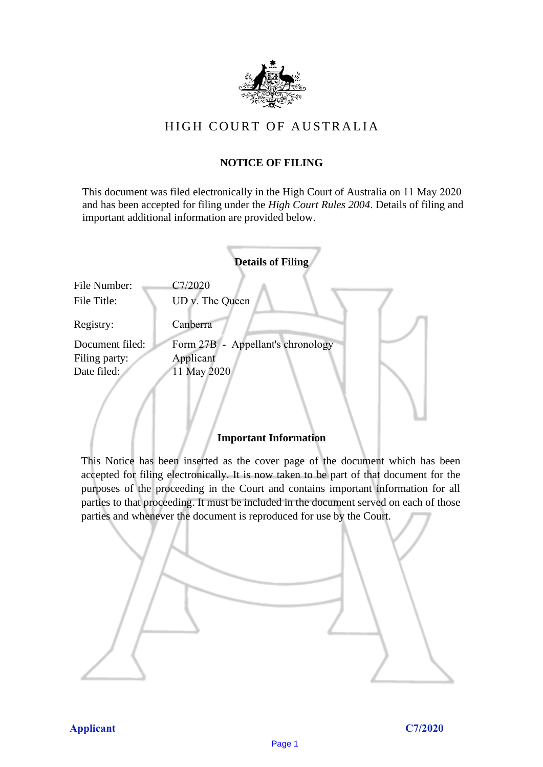

# HIGH COURT OF AU STRALIA HIGH COURT OF AUSTRALIA

#### **NOTICE OF FILING** NOTICE OF FILING

This document was filed electronically in the High Court of Australia on 11 May 2020 This document was filed electronically in the High Court of Australia 20 and has been accepted for filing under the *High Court Rules 2004*. Details of filing and important additional information are provided below. important additional information are provided below.

|                             | <b>Details of Filing</b>          |
|-----------------------------|-----------------------------------|
| File Number:<br>File Title: | C7/2020<br>UD v. The Queen        |
| Registry:                   | Canberra                          |
| Document filed:             | Form 27B - Appellant's chronology |
| Filing party:               | Applicant                         |
| Date filed:                 | 11 May 2020                       |
|                             |                                   |

#### **Important Information** Important Information

This Notice has been inserted as the cover page of the document which has been accepted for filing electronically. It is now taken to be part of that document for the purposes of the proceeding in the Court and contains important information for all parties to that proceeding. It must be included in the document served on each of those parties and whenever the document is reproduced for use by the Court. parties and whenever the document is reproduced for use by the Court

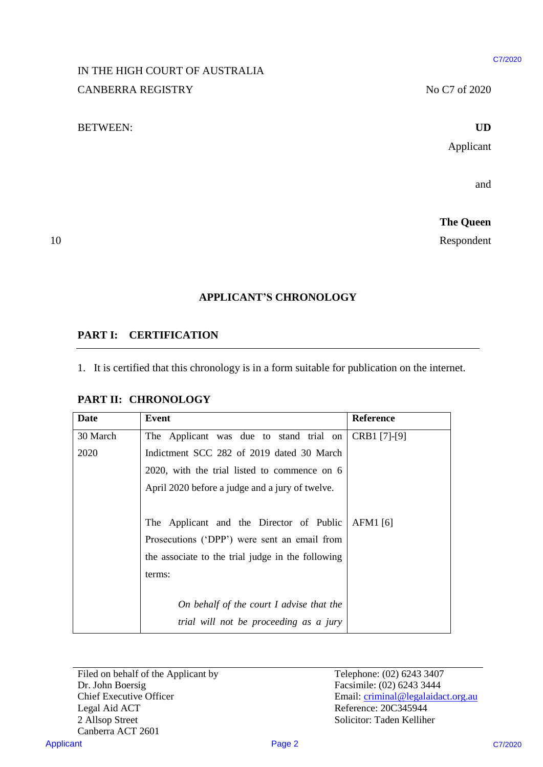#### C7/2020

#### UD

# IN THE HIGH COURT OF AUSTRALIA IN THE HIGH COURT OF AUSTRALIA CANBERRA REGISTRY No C7 of 2020

#### BETWEEN: **UD** BETWEEN:

# 10

## **APPLICANT'S CHRONOLOGY** APPLICANT'S CHRONOLOGY

## **PART I: CERTIFICATION** PARTI: CERTIFICATION

#### **PART II: CHRONOLOGY** PART Il: CHRONOLOGY

|                               | IN THE HIGH COURT OF AUSTRALIA                                                                 |              |                  |
|-------------------------------|------------------------------------------------------------------------------------------------|--------------|------------------|
|                               | <b>CANBERRA REGISTRY</b>                                                                       |              | No C7 of 2020    |
| <b>BETWEEN:</b>               |                                                                                                |              | <b>UD</b>        |
|                               |                                                                                                |              | Applicant        |
|                               |                                                                                                |              |                  |
|                               |                                                                                                |              | and              |
|                               |                                                                                                |              | <b>The Queen</b> |
|                               |                                                                                                |              | Respondent       |
|                               | <b>APPLICANT'S CHRONOLOGY</b>                                                                  |              |                  |
|                               |                                                                                                |              |                  |
|                               | <b>CERTIFICATION</b>                                                                           |              |                  |
|                               | 1. It is certified that this chronology is in a form suitable for publication on the internet. |              |                  |
|                               | PART II: CHRONOLOGY                                                                            |              |                  |
| <b>PART I:</b><br><b>Date</b> | <b>Event</b>                                                                                   | Reference    |                  |
| 30 March                      | The Applicant was due to stand trial on                                                        | CRB1 [7]-[9] |                  |
| 2020                          | Indictment SCC 282 of 2019 dated 30 March                                                      |              |                  |
|                               | 2020, with the trial listed to commence on 6                                                   |              |                  |
|                               | April 2020 before a judge and a jury of twelve.                                                |              |                  |
|                               | The Applicant and the Director of Public                                                       | AFM1 [6]     |                  |
|                               | Prosecutions ('DPP') were sent an email from                                                   |              |                  |
|                               | the associate to the trial judge in the following                                              |              |                  |
|                               | terms:                                                                                         |              |                  |
|                               | On behalf of the court I advise that the                                                       |              |                  |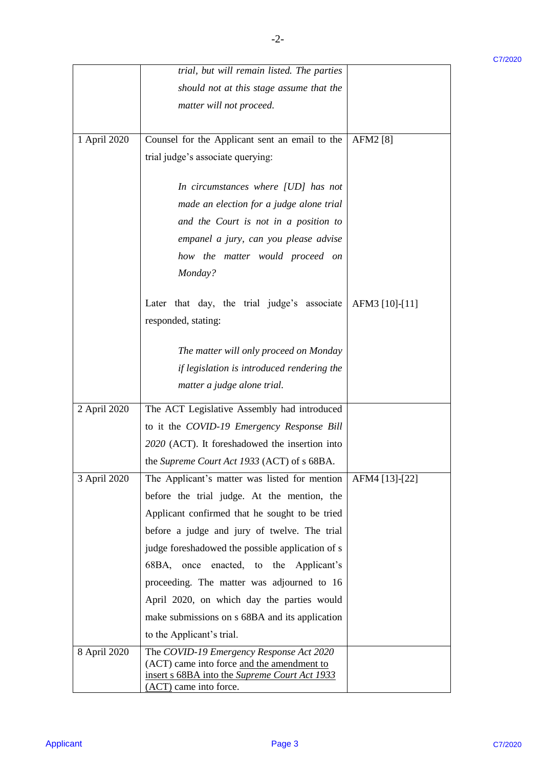|              | trial, but will remain listed. The parties                                                                                              |                | C7/2020 |
|--------------|-----------------------------------------------------------------------------------------------------------------------------------------|----------------|---------|
|              | should not at this stage assume that the                                                                                                |                |         |
|              | matter will not proceed.                                                                                                                |                |         |
|              |                                                                                                                                         |                |         |
| 1 April 2020 | Counsel for the Applicant sent an email to the                                                                                          | AFM2 [8]       |         |
|              | trial judge's associate querying:                                                                                                       |                |         |
|              | In circumstances where [UD] has not                                                                                                     |                |         |
|              | made an election for a judge alone trial                                                                                                |                |         |
|              | and the Court is not in a position to                                                                                                   |                |         |
|              | empanel a jury, can you please advise                                                                                                   |                |         |
|              | how the matter would proceed on                                                                                                         |                |         |
|              | Monday?                                                                                                                                 |                |         |
|              | Later that day, the trial judge's associate                                                                                             | AFM3 [10]-[11] |         |
|              | responded, stating:                                                                                                                     |                |         |
|              |                                                                                                                                         |                |         |
|              | The matter will only proceed on Monday                                                                                                  |                |         |
|              | if legislation is introduced rendering the                                                                                              |                |         |
|              | matter a judge alone trial.                                                                                                             |                |         |
| 2 April 2020 | The ACT Legislative Assembly had introduced                                                                                             |                |         |
|              | to it the COVID-19 Emergency Response Bill                                                                                              |                |         |
|              | 2020 (ACT). It foreshadowed the insertion into                                                                                          |                |         |
|              | the Supreme Court Act 1933 (ACT) of s 68BA.                                                                                             |                |         |
| 3 April 2020 | The Applicant's matter was listed for mention                                                                                           | AFM4 [13]-[22] |         |
|              | before the trial judge. At the mention, the                                                                                             |                |         |
|              | Applicant confirmed that he sought to be tried                                                                                          |                |         |
|              | before a judge and jury of twelve. The trial                                                                                            |                |         |
|              | judge foreshadowed the possible application of s                                                                                        |                |         |
|              | 68BA, once enacted, to the Applicant's                                                                                                  |                |         |
|              | proceeding. The matter was adjourned to 16                                                                                              |                |         |
|              | April 2020, on which day the parties would                                                                                              |                |         |
|              | make submissions on s 68BA and its application                                                                                          |                |         |
|              | to the Applicant's trial.                                                                                                               |                |         |
| 8 April 2020 | The COVID-19 Emergency Response Act 2020<br>(ACT) came into force and the amendment to<br>insert s 68BA into the Supreme Court Act 1933 |                |         |
|              | (ACT) came into force.                                                                                                                  |                |         |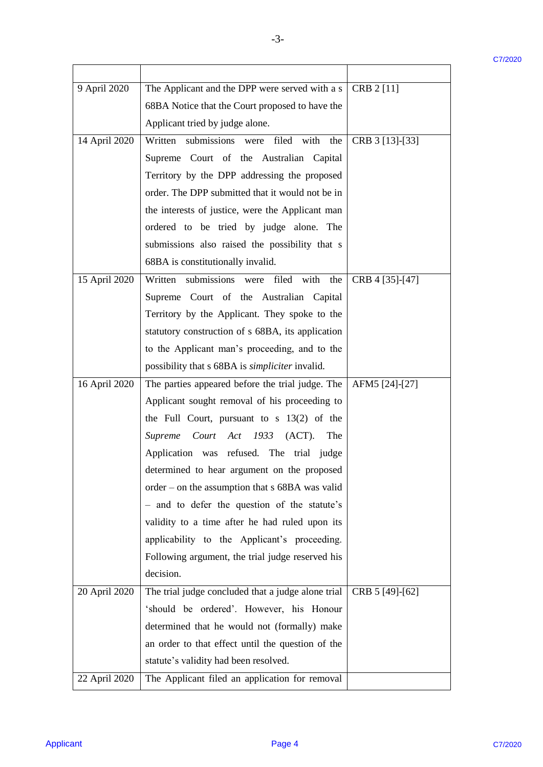C7/2020

|               |                                                        |                 | C7/2020 |
|---------------|--------------------------------------------------------|-----------------|---------|
| 9 April 2020  | The Applicant and the DPP were served with a s         | CRB $2$ [11]    |         |
|               | 68BA Notice that the Court proposed to have the        |                 |         |
|               | Applicant tried by judge alone.                        |                 |         |
| 14 April 2020 | Written submissions were filed with the                | CRB 3 [13]-[33] |         |
|               | Supreme Court of the Australian Capital                |                 |         |
|               | Territory by the DPP addressing the proposed           |                 |         |
|               | order. The DPP submitted that it would not be in       |                 |         |
|               | the interests of justice, were the Applicant man       |                 |         |
|               | ordered to be tried by judge alone. The                |                 |         |
|               | submissions also raised the possibility that s         |                 |         |
|               | 68BA is constitutionally invalid.                      |                 |         |
| 15 April 2020 | Written submissions were filed with the                | CRB 4 [35]-[47] |         |
|               | Supreme Court of the Australian Capital                |                 |         |
|               | Territory by the Applicant. They spoke to the          |                 |         |
|               | statutory construction of s 68BA, its application      |                 |         |
|               |                                                        |                 |         |
|               | to the Applicant man's proceeding, and to the          |                 |         |
|               | possibility that s 68BA is <i>simpliciter</i> invalid. |                 |         |
| 16 April 2020 | The parties appeared before the trial judge. The       | AFM5 [24]-[27]  |         |
|               | Applicant sought removal of his proceeding to          |                 |         |
|               | the Full Court, pursuant to $s$ 13(2) of the           |                 |         |
|               | Court Act 1933<br>(ACT).<br><b>Supreme</b><br>The      |                 |         |
|               | Application was refused. The trial judge               |                 |         |
|               | determined to hear argument on the proposed            |                 |         |
|               | order – on the assumption that s 68BA was valid        |                 |         |
|               | - and to defer the question of the statute's           |                 |         |
|               | validity to a time after he had ruled upon its         |                 |         |
|               | applicability to the Applicant's proceeding.           |                 |         |
|               | Following argument, the trial judge reserved his       |                 |         |
|               | decision.                                              |                 |         |
| 20 April 2020 | The trial judge concluded that a judge alone trial     | CRB 5 [49]-[62] |         |
|               | 'should be ordered'. However, his Honour               |                 |         |
|               | determined that he would not (formally) make           |                 |         |
|               | an order to that effect until the question of the      |                 |         |
|               | statute's validity had been resolved.                  |                 |         |
| 22 April 2020 | The Applicant filed an application for removal         |                 |         |
|               |                                                        |                 |         |